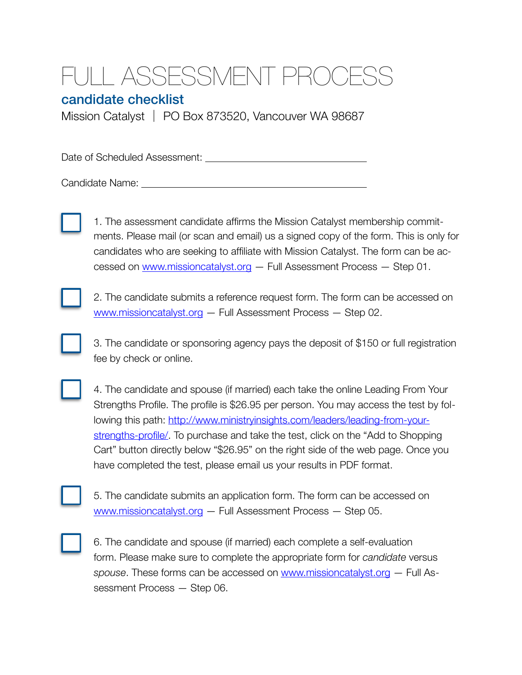## JLL ASSESSMENT PROC

## candidate checklist

Mission Catalyst │ PO Box 873520, Vancouver WA 98687

Date of Scheduled Assessment: 

Candidate Name: 



1. The assessment candidate affirms the Mission Catalyst membership commitments. Please mail (or scan and email) us a signed copy of the form. This is only for candidates who are seeking to affiliate with Mission Catalyst. The form can be accessed on [www.missioncatalyst.org](http://www.missioncatalyst.org) — Full Assessment Process — Step 01.



2. The candidate submits a reference request form. The form can be accessed on [www.missioncatalyst.org](http://www.missioncatalyst.org) — Full Assessment Process — Step 02.

3. The candidate or sponsoring agency pays the deposit of \$150 or full registration fee by check or online.



4. The candidate and spouse (if married) each take the online Leading From Your Strengths Profile. The profile is \$26.95 per person. You may access the test by following this path: [http://www.ministryinsights.com/leaders/leading-from-your](http://www.ministryinsights.com/leaders/leading-from-your-strengths-profile/)[strengths-profile/](http://www.ministryinsights.com/leaders/leading-from-your-strengths-profile/). To purchase and take the test, click on the "Add to Shopping Cart" button directly below "\$26.95" on the right side of the web page. Once you have completed the test, please email us your results in PDF format.

| ٠ |  |  |  |
|---|--|--|--|

5. The candidate submits an application form. The form can be accessed on [www.missioncatalyst.org](http://www.missioncatalyst.org) — Full Assessment Process — Step 05.



6. The candidate and spouse (if married) each complete a self-evaluation form. Please make sure to complete the appropriate form for *candidate* versus *spouse*. These forms can be accessed on [www.missioncatalyst.org](http://www.missioncatalyst.org) — Full Assessment Process — Step 06.